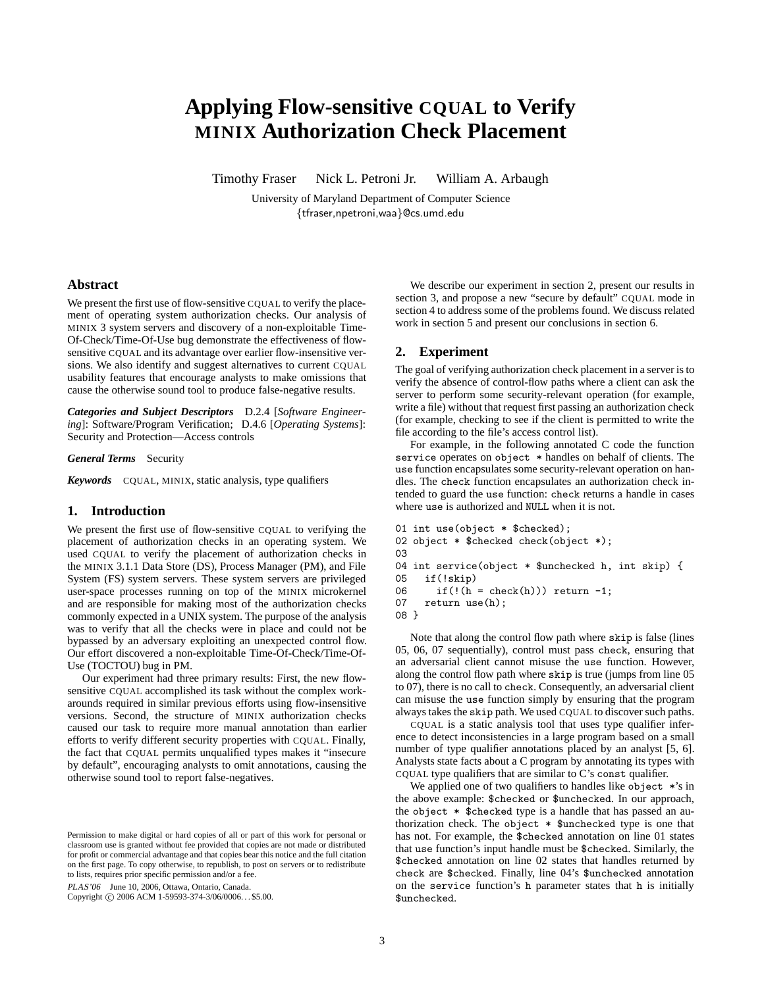# **Applying Flow-sensitive CQUAL to Verify MINIX Authorization Check Placement**

Timothy Fraser Nick L. Petroni Jr. William A. Arbaugh

University of Maryland Department of Computer Science *{*tfraser,npetroni,waa*}*@cs.umd.edu

# **Abstract**

We present the first use of flow-sensitive CQUAL to verify the placement of operating system authorization checks. Our analysis of MINIX 3 system servers and discovery of a non-exploitable Time-Of-Check/Time-Of-Use bug demonstrate the effectiveness of flowsensitive CQUAL and its advantage over earlier flow-insensitive versions. We also identify and suggest alternatives to current CQUAL usability features that encourage analysts to make omissions that cause the otherwise sound tool to produce false-negative results.

*Categories and Subject Descriptors* D.2.4 [*Software Engineering*]: Software/Program Verification; D.4.6 [*Operating Systems*]: Security and Protection—Access controls

# *General Terms* Security

*Keywords* CQUAL, MINIX, static analysis, type qualifiers

# **1. Introduction**

We present the first use of flow-sensitive CQUAL to verifying the placement of authorization checks in an operating system. We used CQUAL to verify the placement of authorization checks in the MINIX 3.1.1 Data Store (DS), Process Manager (PM), and File System (FS) system servers. These system servers are privileged user-space processes running on top of the MINIX microkernel and are responsible for making most of the authorization checks commonly expected in a UNIX system. The purpose of the analysis was to verify that all the checks were in place and could not be bypassed by an adversary exploiting an unexpected control flow. Our effort discovered a non-exploitable Time-Of-Check/Time-Of-Use (TOCTOU) bug in PM.

Our experiment had three primary results: First, the new flowsensitive CQUAL accomplished its task without the complex workarounds required in similar previous efforts using flow-insensitive versions. Second, the structure of MINIX authorization checks caused our task to require more manual annotation than earlier efforts to verify different security properties with CQUAL. Finally, the fact that CQUAL permits unqualified types makes it "insecure by default", encouraging analysts to omit annotations, causing the otherwise sound tool to report false-negatives.

PLAS'06 June 10, 2006, Ottawa, Ontario, Canada.

Copyright © 2006 ACM 1-59593-374-3/06/0006... \$5.00.

We describe our experiment in section 2, present our results in section 3, and propose a new "secure by default" CQUAL mode in section 4 to address some of the problems found. We discuss related work in section 5 and present our conclusions in section 6.

## **2. Experiment**

The goal of verifying authorization check placement in a server is to verify the absence of control-flow paths where a client can ask the server to perform some security-relevant operation (for example, write a file) without that request first passing an authorization check (for example, checking to see if the client is permitted to write the file according to the file's access control list).

For example, in the following annotated C code the function service operates on object \* handles on behalf of clients. The use function encapsulates some security-relevant operation on handles. The check function encapsulates an authorization check intended to guard the use function: check returns a handle in cases where use is authorized and NULL when it is not.

```
01 int use(object * $checked);
02 object * $checked check(object *);
03
04 int service(object * $unchecked h, int skip) {
05 if(!skip)
06 if(!(h = check(h))) return -1;<br>07 return use(h):
     return use(h);
08 }
```
Note that along the control flow path where skip is false (lines 05, 06, 07 sequentially), control must pass check, ensuring that an adversarial client cannot misuse the use function. However, along the control flow path where skip is true (jumps from line 05 to 07), there is no call to check. Consequently, an adversarial client can misuse the use function simply by ensuring that the program always takes the skip path. We used CQUAL to discover such paths.

CQUAL is a static analysis tool that uses type qualifier inference to detect inconsistencies in a large program based on a small number of type qualifier annotations placed by an analyst [5, 6]. Analysts state facts about a C program by annotating its types with CQUAL type qualifiers that are similar to C's const qualifier.

We applied one of two qualifiers to handles like object  $\ast$ 's in the above example: \$checked or \$unchecked. In our approach, the object \* \$checked type is a handle that has passed an authorization check. The object \* \$unchecked type is one that has not. For example, the \$checked annotation on line 01 states that use function's input handle must be \$checked. Similarly, the \$checked annotation on line 02 states that handles returned by check are \$checked. Finally, line 04's \$unchecked annotation on the service function's h parameter states that h is initially \$unchecked.

Permission to make digital or hard copies of all or part of this work for personal or classroom use is granted without fee provided that copies are not made or distributed for profit or commercial advantage and that copies bear this notice and the full citation on the first page. To copy otherwise, to republish, to post on servers or to redistribute to lists, requires prior specific permission and/or a fee.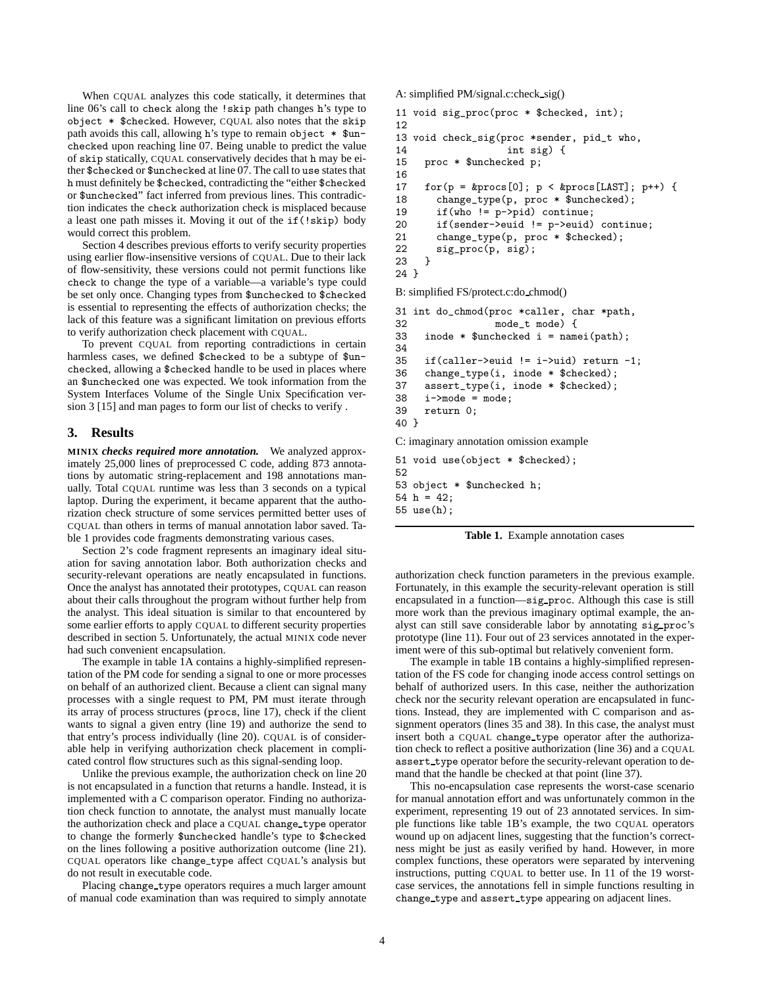When CQUAL analyzes this code statically, it determines that line 06's call to check along the !skip path changes h's type to object \* \$checked. However, CQUAL also notes that the skip path avoids this call, allowing h's type to remain object \* \$unchecked upon reaching line 07. Being unable to predict the value of skip statically, CQUAL conservatively decides that h may be either \$checked or \$unchecked at line 07. The call to use states that h must definitely be \$checked, contradicting the "either \$checked or \$unchecked" fact inferred from previous lines. This contradiction indicates the check authorization check is misplaced because a least one path misses it. Moving it out of the if(!skip) body would correct this problem.

Section 4 describes previous efforts to verify security properties using earlier flow-insensitive versions of CQUAL. Due to their lack of flow-sensitivity, these versions could not permit functions like check to change the type of a variable—a variable's type could be set only once. Changing types from \$unchecked to \$checked is essential to representing the effects of authorization checks; the lack of this feature was a significant limitation on previous efforts to verify authorization check placement with CQUAL.

To prevent CQUAL from reporting contradictions in certain harmless cases, we defined \$checked to be a subtype of \$unchecked, allowing a \$checked handle to be used in places where an \$unchecked one was expected. We took information from the System Interfaces Volume of the Single Unix Specification version 3 [15] and man pages to form our list of checks to verify .

# **3. Results**

**MINIX** *checks required more annotation.* We analyzed approximately 25,000 lines of preprocessed C code, adding 873 annotations by automatic string-replacement and 198 annotations manually. Total CQUAL runtime was less than 3 seconds on a typical laptop. During the experiment, it became apparent that the authorization check structure of some services permitted better uses of CQUAL than others in terms of manual annotation labor saved. Table 1 provides code fragments demonstrating various cases.

Section 2's code fragment represents an imaginary ideal situation for saving annotation labor. Both authorization checks and security-relevant operations are neatly encapsulated in functions. Once the analyst has annotated their prototypes, CQUAL can reason about their calls throughout the program without further help from the analyst. This ideal situation is similar to that encountered by some earlier efforts to apply CQUAL to different security properties described in section 5. Unfortunately, the actual MINIX code never had such convenient encapsulation.

The example in table 1A contains a highly-simplified representation of the PM code for sending a signal to one or more processes on behalf of an authorized client. Because a client can signal many processes with a single request to PM, PM must iterate through its array of process structures (procs, line 17), check if the client wants to signal a given entry (line 19) and authorize the send to that entry's process individually (line 20). CQUAL is of considerable help in verifying authorization check placement in complicated control flow structures such as this signal-sending loop.

Unlike the previous example, the authorization check on line 20 is not encapsulated in a function that returns a handle. Instead, it is implemented with a C comparison operator. Finding no authorization check function to annotate, the analyst must manually locate the authorization check and place a CQUAL change type operator to change the formerly \$unchecked handle's type to \$checked on the lines following a positive authorization outcome (line 21). CQUAL operators like change type affect CQUAL's analysis but do not result in executable code.

Placing change type operators requires a much larger amount of manual code examination than was required to simply annotate A: simplified PM/signal.c:check sig()

```
11 void sig_proc(proc * $checked, int);
12
13 void check_sig(proc *sender, pid_t who,
14 int sig) {<br>15 proc * $unchecked p:
     proc * $unchecked p;
16
17 for(p = kpcos[0]; p < kpcos[LAST]; p++) {
18 change_type(p, proc * $unchecked);<br>19 if(who l = n->nid) continue:
19 if(who != p->pid) continue;<br>20 if(sender->euid != p->euid)
        if(sender->euid != p->euid) continue;
21 change_type(p, proc * $checked);
22 sig_proc(p, sig);
23 }
24 }
B: simplified FS/protect.c:do chmod()
31 int do_chmod(proc *caller, char *path,
```
 $32$  mode\_t mode) {<br> $33$  inode \* \$unchecked i = name  $inode * $unchecked i = namei(path);$ 34 35 if(caller->euid != i->uid) return -1;<br>36 change type(i, inode \* \$checked): 36 change\_type(i, inode \* \$checked);<br>37 assert type(i inode \* \$checked); assert\_type(i, inode \* \$checked);  $38$  i- $>$ mode = mode;

```
39 return 0;
40 }
C: imaginary annotation omission example
```

```
51 void use(object * $checked);
52
53 object * $unchecked h;
54 h = 42;
55 use(h);
```
**Table 1.** Example annotation cases

authorization check function parameters in the previous example. Fortunately, in this example the security-relevant operation is still encapsulated in a function—sig proc. Although this case is still more work than the previous imaginary optimal example, the analyst can still save considerable labor by annotating sig proc's prototype (line 11). Four out of 23 services annotated in the experiment were of this sub-optimal but relatively convenient form.

The example in table 1B contains a highly-simplified representation of the FS code for changing inode access control settings on behalf of authorized users. In this case, neither the authorization check nor the security relevant operation are encapsulated in functions. Instead, they are implemented with C comparison and assignment operators (lines 35 and 38). In this case, the analyst must insert both a CQUAL change type operator after the authorization check to reflect a positive authorization (line 36) and a CQUAL assert\_type operator before the security-relevant operation to demand that the handle be checked at that point (line 37).

This no-encapsulation case represents the worst-case scenario for manual annotation effort and was unfortunately common in the experiment, representing 19 out of 23 annotated services. In simple functions like table 1B's example, the two CQUAL operators wound up on adjacent lines, suggesting that the function's correctness might be just as easily verified by hand. However, in more complex functions, these operators were separated by intervening instructions, putting CQUAL to better use. In 11 of the 19 worstcase services, the annotations fell in simple functions resulting in change type and assert type appearing on adjacent lines.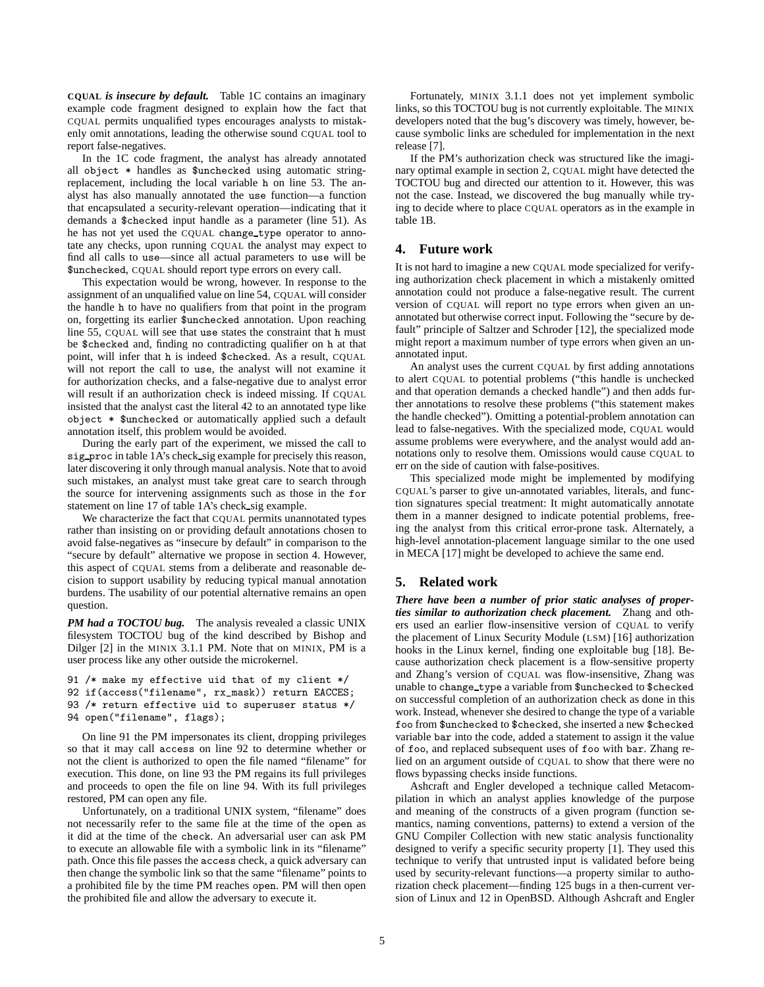**CQUAL** *is insecure by default.* Table 1C contains an imaginary example code fragment designed to explain how the fact that CQUAL permits unqualified types encourages analysts to mistakenly omit annotations, leading the otherwise sound CQUAL tool to report false-negatives.

In the 1C code fragment, the analyst has already annotated all object \* handles as \$unchecked using automatic stringreplacement, including the local variable h on line 53. The analyst has also manually annotated the use function—a function that encapsulated a security-relevant operation—indicating that it demands a \$checked input handle as a parameter (line 51). As he has not yet used the CQUAL change type operator to annotate any checks, upon running CQUAL the analyst may expect to find all calls to use—since all actual parameters to use will be \$unchecked, CQUAL should report type errors on every call.

This expectation would be wrong, however. In response to the assignment of an unqualified value on line 54, CQUAL will consider the handle h to have no qualifiers from that point in the program on, forgetting its earlier \$unchecked annotation. Upon reaching line 55, CQUAL will see that use states the constraint that h must be \$checked and, finding no contradicting qualifier on h at that point, will infer that h is indeed \$checked. As a result, CQUAL will not report the call to use, the analyst will not examine it for authorization checks, and a false-negative due to analyst error will result if an authorization check is indeed missing. If CQUAL insisted that the analyst cast the literal 42 to an annotated type like object \* \$unchecked or automatically applied such a default annotation itself, this problem would be avoided.

During the early part of the experiment, we missed the call to sig proc in table 1A's check sig example for precisely this reason, later discovering it only through manual analysis. Note that to avoid such mistakes, an analyst must take great care to search through the source for intervening assignments such as those in the for statement on line 17 of table 1A's check sig example.

We characterize the fact that CQUAL permits unannotated types rather than insisting on or providing default annotations chosen to avoid false-negatives as "insecure by default" in comparison to the "secure by default" alternative we propose in section 4. However, this aspect of CQUAL stems from a deliberate and reasonable decision to support usability by reducing typical manual annotation burdens. The usability of our potential alternative remains an open question.

*PM had a TOCTOU bug.* The analysis revealed a classic UNIX filesystem TOCTOU bug of the kind described by Bishop and Dilger [2] in the MINIX 3.1.1 PM. Note that on MINIX, PM is a user process like any other outside the microkernel.

```
91 /* make my effective uid that of my client */
92 if(access("filename", rx_mask)) return EACCES;
93 /* return effective uid to superuser status */
94 open("filename", flags);
```
On line 91 the PM impersonates its client, dropping privileges so that it may call access on line 92 to determine whether or not the client is authorized to open the file named "filename" for execution. This done, on line 93 the PM regains its full privileges and proceeds to open the file on line 94. With its full privileges restored, PM can open any file.

Unfortunately, on a traditional UNIX system, "filename" does not necessarily refer to the same file at the time of the open as it did at the time of the check. An adversarial user can ask PM to execute an allowable file with a symbolic link in its "filename" path. Once this file passes the access check, a quick adversary can then change the symbolic link so that the same "filename" points to a prohibited file by the time PM reaches open. PM will then open the prohibited file and allow the adversary to execute it.

Fortunately, MINIX 3.1.1 does not yet implement symbolic links, so this TOCTOU bug is not currently exploitable. The MINIX developers noted that the bug's discovery was timely, however, because symbolic links are scheduled for implementation in the next release [7].

If the PM's authorization check was structured like the imaginary optimal example in section 2, CQUAL might have detected the TOCTOU bug and directed our attention to it. However, this was not the case. Instead, we discovered the bug manually while trying to decide where to place CQUAL operators as in the example in table 1B.

# **4. Future work**

It is not hard to imagine a new CQUAL mode specialized for verifying authorization check placement in which a mistakenly omitted annotation could not produce a false-negative result. The current version of CQUAL will report no type errors when given an unannotated but otherwise correct input. Following the "secure by default" principle of Saltzer and Schroder [12], the specialized mode might report a maximum number of type errors when given an unannotated input.

An analyst uses the current CQUAL by first adding annotations to alert CQUAL to potential problems ("this handle is unchecked and that operation demands a checked handle") and then adds further annotations to resolve these problems ("this statement makes the handle checked"). Omitting a potential-problem annotation can lead to false-negatives. With the specialized mode, CQUAL would assume problems were everywhere, and the analyst would add annotations only to resolve them. Omissions would cause CQUAL to err on the side of caution with false-positives.

This specialized mode might be implemented by modifying CQUAL's parser to give un-annotated variables, literals, and function signatures special treatment: It might automatically annotate them in a manner designed to indicate potential problems, freeing the analyst from this critical error-prone task. Alternately, a high-level annotation-placement language similar to the one used in MECA [17] might be developed to achieve the same end.

# **5. Related work**

*There have been a number of prior static analyses of properties similar to authorization check placement.* Zhang and others used an earlier flow-insensitive version of CQUAL to verify the placement of Linux Security Module (LSM) [16] authorization hooks in the Linux kernel, finding one exploitable bug [18]. Because authorization check placement is a flow-sensitive property and Zhang's version of CQUAL was flow-insensitive, Zhang was unable to change type a variable from \$unchecked to \$checked on successful completion of an authorization check as done in this work. Instead, whenever she desired to change the type of a variable foo from \$unchecked to \$checked, she inserted a new \$checked variable bar into the code, added a statement to assign it the value of foo, and replaced subsequent uses of foo with bar. Zhang relied on an argument outside of CQUAL to show that there were no flows bypassing checks inside functions.

Ashcraft and Engler developed a technique called Metacompilation in which an analyst applies knowledge of the purpose and meaning of the constructs of a given program (function semantics, naming conventions, patterns) to extend a version of the GNU Compiler Collection with new static analysis functionality designed to verify a specific security property [1]. They used this technique to verify that untrusted input is validated before being used by security-relevant functions—a property similar to authorization check placement—finding 125 bugs in a then-current version of Linux and 12 in OpenBSD. Although Ashcraft and Engler